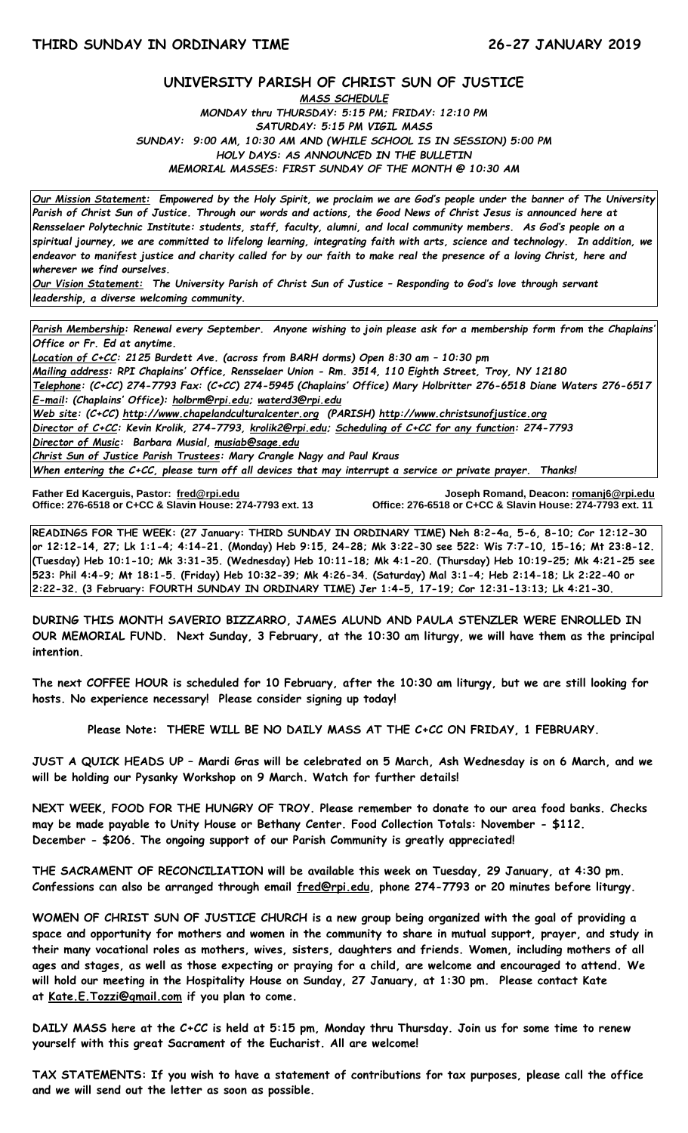## **UNIVERSITY PARISH OF CHRIST SUN OF JUSTICE**

*MASS SCHEDULE MONDAY thru THURSDAY: 5:15 PM; FRIDAY: 12:10 PM SATURDAY: 5:15 PM VIGIL MASS SUNDAY: 9:00 AM, 10:30 AM AND (WHILE SCHOOL IS IN SESSION) 5:00 PM HOLY DAYS: AS ANNOUNCED IN THE BULLETIN MEMORIAL MASSES: FIRST SUNDAY OF THE MONTH @ 10:30 AM*

*Our Mission Statement:**Empowered by the Holy Spirit, we proclaim we are God's people under the banner of The University Parish of Christ Sun of Justice. Through our words and actions, the Good News of Christ Jesus is announced here at Rensselaer Polytechnic Institute: students, staff, faculty, alumni, and local community members. As God's people on a spiritual journey, we are committed to lifelong learning, integrating faith with arts, science and technology. In addition, we endeavor to manifest justice and charity called for by our faith to make real the presence of a loving Christ, here and wherever we find ourselves.*

*Our Vision Statement: The University Parish of Christ Sun of Justice – Responding to God's love through servant leadership, a diverse welcoming community.*

*Parish Membership: Renewal every September. Anyone wishing to join please ask for a membership form from the Chaplains' Office or Fr. Ed at anytime.*

*Location of C+CC: 2125 Burdett Ave. (across from BARH dorms) Open 8:30 am – 10:30 pm Mailing address: RPI Chaplains' Office, Rensselaer Union - Rm. 3514, 110 Eighth Street, Troy, NY 12180 Telephone: (C+CC) 274-7793 Fax: (C+CC) 274-5945 (Chaplains' Office) Mary Holbritter 276-6518 Diane Waters 276-6517 E-mail: (Chaplains' Office): [holbrm@rpi.edu;](mailto:holbrm@rpi.edu) waterd3@rpi.edu Web site: (C+CC) [http://www.chapelandculturalcenter.org](http://www.chapelandculturalcenter.org/) (PARISH) http://www.christsunofjustice.org Director of C+CC: Kevin Krolik, 274-7793, krolik2@rpi.edu; Scheduling of C+CC for any function: 274-7793 Director of Music: Barbara Musial, [musiab@sage.edu](mailto:musiab@sage.edu) Christ Sun of Justice Parish Trustees: Mary Crangle Nagy and Paul Kraus When entering the C+CC, please turn off all devices that may interrupt a service or private prayer. Thanks!* 

Father Ed Kacerguis, Pastor: fred@rpi.edu **Office: 276-6518 or C+CC & Slavin House: 274-7793 ext. 13** 

**Father Ed Kacerguis, Pastor: [fred@rpi.edu](mailto:fred@rpi.edu) Joseph Romand, Deacon[: romanj6@rpi.edu](mailto:romanj6@rpi.edu)**

**READINGS FOR THE WEEK: (27 January: THIRD SUNDAY IN ORDINARY TIME) Neh 8:2-4a, 5-6, 8-10; Cor 12:12-30 or 12:12-14, 27; Lk 1:1-4; 4:14-21. (Monday) Heb 9:15, 24-28; Mk 3:22-30 see 522: Wis 7:7-10, 15-16; Mt 23:8-12. (Tuesday) Heb 10:1-10; Mk 3:31-35. (Wednesday) Heb 10:11-18; Mk 4:1-20. (Thursday) Heb 10:19-25; Mk 4:21-25 see 523: Phil 4:4-9; Mt 18:1-5. (Friday) Heb 10:32-39; Mk 4:26-34. (Saturday) Mal 3:1-4; Heb 2:14-18; Lk 2:22-40 or 2:22-32. (3 February: FOURTH SUNDAY IN ORDINARY TIME) Jer 1:4-5, 17-19; Cor 12:31-13:13; Lk 4:21-30.**

**DURING THIS MONTH SAVERIO BIZZARRO, JAMES ALUND AND PAULA STENZLER WERE ENROLLED IN OUR MEMORIAL FUND. Next Sunday, 3 February, at the 10:30 am liturgy, we will have them as the principal intention.**

**The next COFFEE HOUR is scheduled for 10 February, after the 10:30 am liturgy, but we are still looking for hosts. No experience necessary! Please consider signing up today!** 

**Please Note: THERE WILL BE NO DAILY MASS AT THE C+CC ON FRIDAY, 1 FEBRUARY.**

**JUST A QUICK HEADS UP – Mardi Gras will be celebrated on 5 March, Ash Wednesday is on 6 March, and we will be holding our Pysanky Workshop on 9 March. Watch for further details!**

**NEXT WEEK, FOOD FOR THE HUNGRY OF TROY. Please remember to donate to our area food banks. Checks may be made payable to Unity House or Bethany Center. Food Collection Totals: November - \$112. December - \$206. The ongoing support of our Parish Community is greatly appreciated!**

**THE SACRAMENT OF RECONCILIATION will be available this week on Tuesday, 29 January, at 4:30 pm. Confessions can also be arranged through email [fred@rpi.edu,](mailto:fred@rpi.edu) phone 274-7793 or 20 minutes before liturgy.**

**WOMEN OF CHRIST SUN OF JUSTICE CHURCH is a new group being organized with the goal of providing a space and opportunity for mothers and women in the community to share in mutual support, prayer, and study in their many vocational roles as mothers, wives, sisters, daughters and friends. Women, including mothers of all ages and stages, as well as those expecting or praying for a child, are welcome and encouraged to attend. We will hold our meeting in the Hospitality House on Sunday, 27 January, at 1:30 pm. Please contact Kate at [Kate.E.Tozzi@gmail.com](mailto:Kate.E.Tozzi@gmail.com) if you plan to come.**

**DAILY MASS here at the C+CC is held at 5:15 pm, Monday thru Thursday. Join us for some time to renew yourself with this great Sacrament of the Eucharist. All are welcome!**

**TAX STATEMENTS: If you wish to have a statement of contributions for tax purposes, please call the office and we will send out the letter as soon as possible.**